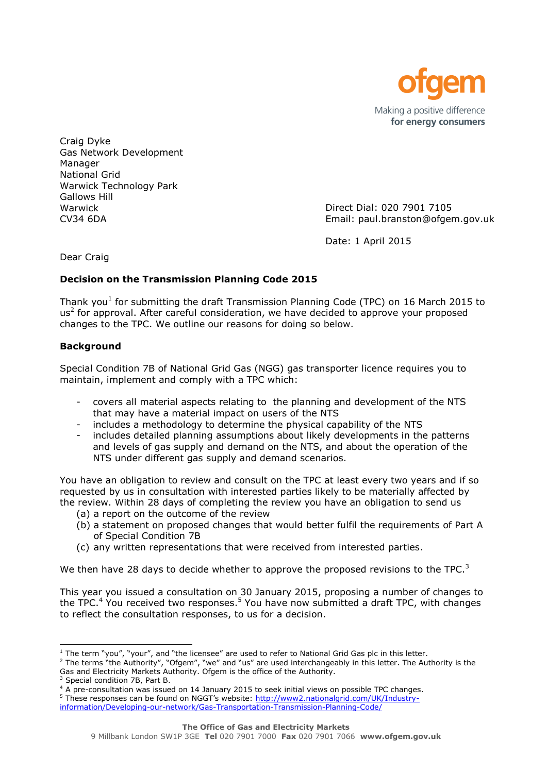

Craig Dyke Gas Network Development Manager National Grid Warwick Technology Park Gallows Hill Warwick CV34 6DA

Direct Dial: 020 7901 7105 Email: paul.branston@ofgem.gov.uk

Date: 1 April 2015

Dear Craig

# **Decision on the Transmission Planning Code 2015**

Thank you<sup>1</sup> for submitting the draft Transmission Planning Code (TPC) on 16 March 2015 to  $us<sup>2</sup>$  for approval. After careful consideration, we have decided to approve your proposed changes to the TPC. We outline our reasons for doing so below.

# **Background**

Special Condition 7B of National Grid Gas (NGG) gas transporter licence requires you to maintain, implement and comply with a TPC which:

- covers all material aspects relating to the planning and development of the NTS that may have a material impact on users of the NTS
- includes a methodology to determine the physical capability of the NTS
- includes detailed planning assumptions about likely developments in the patterns and levels of gas supply and demand on the NTS, and about the operation of the NTS under different gas supply and demand scenarios.

You have an obligation to review and consult on the TPC at least every two years and if so requested by us in consultation with interested parties likely to be materially affected by the review. Within 28 days of completing the review you have an obligation to send us

- (a) a report on the outcome of the review
- (b) a statement on proposed changes that would better fulfil the requirements of Part A of Special Condition 7B
- (c) any written representations that were received from interested parties.

We then have 28 days to decide whether to approve the proposed revisions to the TPC.<sup>3</sup>

This year you issued a consultation on 30 January 2015, proposing a number of changes to the TPC.<sup>4</sup> You received two responses.<sup>5</sup> You have now submitted a draft TPC, with changes to reflect the consultation responses, to us for a decision.

l

 $1$  The term "you", "your", and "the licensee" are used to refer to National Grid Gas plc in this letter.

<sup>&</sup>lt;sup>2</sup> The terms "the Authority", "Ofgem", "we" and "us" are used interchangeably in this letter. The Authority is the Gas and Electricity Markets Authority. Ofgem is the office of the Authority.

Special condition 7B, Part B.

<sup>4</sup> A pre-consultation was issued on 14 January 2015 to seek initial views on possible TPC changes.

<sup>5</sup> These responses can be found on NGGT's website: [http://www2.nationalgrid.com/UK/Industry-](http://www2.nationalgrid.com/UK/Industry-information/Developing-our-network/Gas-Transportation-Transmission-Planning-Code/)

[information/Developing-our-network/Gas-Transportation-Transmission-Planning-Code/](http://www2.nationalgrid.com/UK/Industry-information/Developing-our-network/Gas-Transportation-Transmission-Planning-Code/)